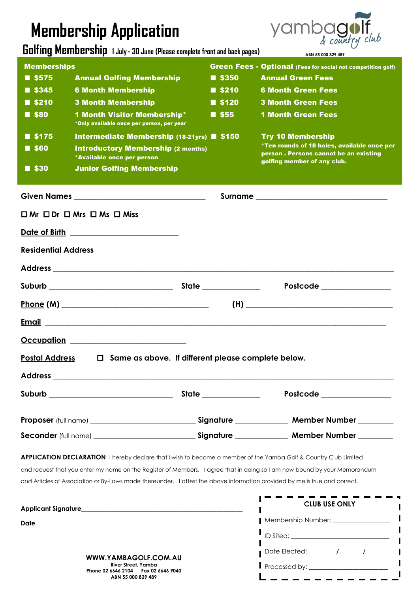## **Membership Application**

**Golfing Membership 1 July - 30 June (Please complete front and back pages)**



Date Elected: **\_\_\_\_\_\_\_ /\_\_\_\_\_\_\_ /\_\_\_\_\_\_\_**

Processed by: \_\_\_\_\_\_\_\_\_\_\_\_\_\_\_\_\_\_\_\_\_\_\_\_\_

 $\frac{1}{2} \frac{1}{2} \frac{1}{2} \frac{1}{2} \frac{1}{2} \frac{1}{2} \frac{1}{2} \frac{1}{2} \frac{1}{2} \frac{1}{2} \frac{1}{2} \frac{1}{2} \frac{1}{2} \frac{1}{2} \frac{1}{2} \frac{1}{2} \frac{1}{2} \frac{1}{2} \frac{1}{2} \frac{1}{2} \frac{1}{2} \frac{1}{2} \frac{1}{2} \frac{1}{2} \frac{1}{2} \frac{1}{2} \frac{1}{2} \frac{1}{2} \frac{1}{2} \frac{1}{2} \frac{1}{2} \frac{$ 

|                            | <b>www.community.community.community.community.com</b> munity.community.community.community.com                            |  |                      | ABN 55 000 829 489                                                                                                                                                                                                                                                                                                                           |
|----------------------------|----------------------------------------------------------------------------------------------------------------------------|--|----------------------|----------------------------------------------------------------------------------------------------------------------------------------------------------------------------------------------------------------------------------------------------------------------------------------------------------------------------------------------|
| <b>Memberships</b>         |                                                                                                                            |  |                      | <b>Green Fees - Optional (Fees for social not competition golf)</b>                                                                                                                                                                                                                                                                          |
| $\blacksquare$ \$575       | <b>Annual Golfing Membership</b>                                                                                           |  | <b>8350</b>          | <b>Annual Green Fees</b>                                                                                                                                                                                                                                                                                                                     |
| $\blacksquare$ \$345       | <b>6 Month Membership</b>                                                                                                  |  | $\blacksquare$ \$210 | <b>6 Month Green Fees</b>                                                                                                                                                                                                                                                                                                                    |
| $\blacksquare$ \$210       | <b>3 Month Membership</b>                                                                                                  |  | $\blacksquare$ \$120 | <b>3 Month Green Fees</b>                                                                                                                                                                                                                                                                                                                    |
| <b>80</b>                  | <b>1 Month Visitor Membership*</b><br>*Only available once per person, per year                                            |  | $\blacksquare$ \$55  | <b>1 Month Green Fees</b>                                                                                                                                                                                                                                                                                                                    |
| $\blacksquare$ \$175       | Intermediate Membership (18-21yrs) ■ \$150                                                                                 |  |                      | <b>Try 10 Membership</b>                                                                                                                                                                                                                                                                                                                     |
| $\blacksquare$ \$60        | <b>Introductory Membership (2 months)</b><br>*Available once per person                                                    |  |                      | *Ten rounds of 18 holes, available once per<br>person. Persons cannot be an existing<br>golfing member of any club.                                                                                                                                                                                                                          |
| $\blacksquare$ \$30        | <b>Junior Golfing Membership</b>                                                                                           |  |                      |                                                                                                                                                                                                                                                                                                                                              |
|                            |                                                                                                                            |  |                      |                                                                                                                                                                                                                                                                                                                                              |
|                            | $\Box$ Mr $\Box$ Dr $\Box$ Mrs $\Box$ Ms $\Box$ Miss                                                                       |  |                      |                                                                                                                                                                                                                                                                                                                                              |
|                            | Date of Birth <b>container the State of Birth</b>                                                                          |  |                      |                                                                                                                                                                                                                                                                                                                                              |
| <b>Residential Address</b> |                                                                                                                            |  |                      |                                                                                                                                                                                                                                                                                                                                              |
|                            |                                                                                                                            |  |                      |                                                                                                                                                                                                                                                                                                                                              |
|                            |                                                                                                                            |  |                      | Postcode _______________                                                                                                                                                                                                                                                                                                                     |
|                            |                                                                                                                            |  |                      | $\begin{picture}(150,10) \put(0,0){\line(1,0){100}} \put(15,0){\line(1,0){100}} \put(15,0){\line(1,0){100}} \put(15,0){\line(1,0){100}} \put(15,0){\line(1,0){100}} \put(15,0){\line(1,0){100}} \put(15,0){\line(1,0){100}} \put(15,0){\line(1,0){100}} \put(15,0){\line(1,0){100}} \put(15,0){\line(1,0){100}} \put(15,0){\line(1,0){100}}$ |
| <b>Email</b>               |                                                                                                                            |  |                      |                                                                                                                                                                                                                                                                                                                                              |
|                            | Occupation __________________________                                                                                      |  |                      |                                                                                                                                                                                                                                                                                                                                              |
| <b>Postal Address</b>      | Same as above. If different please complete below.<br>0                                                                    |  |                      |                                                                                                                                                                                                                                                                                                                                              |
|                            |                                                                                                                            |  |                      |                                                                                                                                                                                                                                                                                                                                              |
|                            |                                                                                                                            |  |                      | Postcode _______________                                                                                                                                                                                                                                                                                                                     |
|                            |                                                                                                                            |  |                      | Proposer (full name) _________________________________Signature ________________ Member Number __________                                                                                                                                                                                                                                    |
|                            |                                                                                                                            |  |                      | Seconder (full name) ______________________________Signature ______________ Member Number _________                                                                                                                                                                                                                                          |
|                            |                                                                                                                            |  |                      | APPLICATION DECLARATION I hereby declare that I wish to become a member of the Yamba Golf & Country Club Limited                                                                                                                                                                                                                             |
|                            |                                                                                                                            |  |                      | and request that you enter my name on the Register of Members. I agree that in doing so I am now bound by your Memorandum                                                                                                                                                                                                                    |
|                            | and Articles of Association or By-Laws made thereunder. I attest the above information provided by me is true and correct. |  |                      |                                                                                                                                                                                                                                                                                                                                              |
|                            |                                                                                                                            |  |                      | <b>CLUB USE ONLY</b>                                                                                                                                                                                                                                                                                                                         |
|                            |                                                                                                                            |  |                      | Membership Number: _________________                                                                                                                                                                                                                                                                                                         |
|                            |                                                                                                                            |  |                      |                                                                                                                                                                                                                                                                                                                                              |
|                            |                                                                                                                            |  |                      |                                                                                                                                                                                                                                                                                                                                              |

**WWW.YAMBAGOLF.COM.AU River Street, Yamba Phone 02 6646 2104 Fax 02 6646 9040 ABN 55 000 829 489**